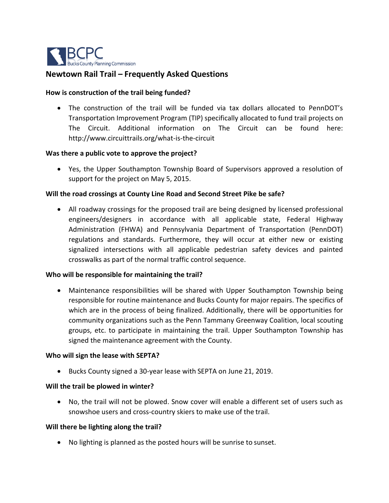

# **Newtown Rail Trail – Frequently Asked Questions**

### **How is construction of the trail being funded?**

 The construction of the trail will be funded via tax dollars allocated to PennDOT's Transportation Improvement Program (TIP) specifically allocated to fund trail projects on The Circuit. Additional information on The Circuit can be found here[:](http://www.circuittrails.org/what-is-the-circuit) <http://www.circuittrails.org/what-is-the-circuit>

#### **Was there a public vote to approve the project?**

 Yes, the Upper Southampton Township Board of Supervisors approved a resolution of support for the project on May 5, 2015.

## **Will the road crossings at County Line Road and Second Street Pike be safe?**

 All roadway crossings for the proposed trail are being designed by licensed professional engineers/designers in accordance with all applicable state, Federal Highway Administration (FHWA) and Pennsylvania Department of Transportation (PennDOT) regulations and standards. Furthermore, they will occur at either new or existing signalized intersections with all applicable pedestrian safety devices and painted crosswalks as part of the normal traffic control sequence.

#### **Who will be responsible for maintaining the trail?**

 Maintenance responsibilities will be shared with Upper Southampton Township being responsible for routine maintenance and Bucks County for major repairs. The specifics of which are in the process of being finalized. Additionally, there will be opportunities for community organizations such as the Penn Tammany Greenway Coalition, local scouting groups, etc. to participate in maintaining the trail. Upper Southampton Township has signed the maintenance agreement with the County.

#### **Who will sign the lease with SEPTA?**

Bucks County signed a 30-year lease with SEPTA on June 21, 2019.

#### **Will the trail be plowed in winter?**

 No, the trail will not be plowed. Snow cover will enable a different set of users such as snowshoe users and cross-country skiers to make use of the trail.

#### **Will there be lighting along the trail?**

No lighting is planned as the posted hours will be sunrise to sunset.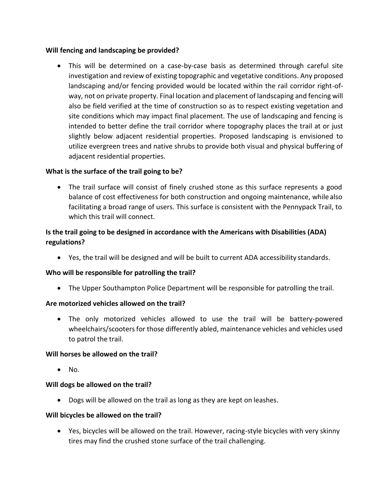## **Will fencing and landscaping be provided?**

 This will be determined on a case-by-case basis as determined through careful site investigation and review of existing topographic and vegetative conditions. Any proposed landscaping and/or fencing provided would be located within the rail corridor right-ofway, not on private property. Final location and placement of landscaping and fencing will also be field verified at the time of construction so as to respect existing vegetation and site conditions which may impact final placement. The use of landscaping and fencing is intended to better define the trail corridor where topography places the trail at or just slightly below adjacent residential properties. Proposed landscaping is envisioned to utilize evergreen trees and native shrubs to provide both visual and physical buffering of adjacent residential properties.

## **What is the surface of the trail going to be?**

 The trail surface will consist of finely crushed stone as this surface represents a good balance of cost effectiveness for both construction and ongoing maintenance, whilealso facilitating a broad range of users. This surface is consistent with the Pennypack Trail, to which this trail will connect.

# **Is the trail going to be designed in accordance with the Americans with Disabilities (ADA) regulations?**

Yes, the trail will be designed and will be built to current ADA accessibility standards.

## **Who will be responsible for patrolling the trail?**

The Upper Southampton Police Department will be responsible for patrolling the trail.

## **Are motorized vehicles allowed on the trail?**

 The only motorized vehicles allowed to use the trail will be battery-powered wheelchairs/scooters for those differently abled, maintenance vehicles and vehicles used to patrol the trail.

## **Will horses be allowed on the trail?**

 $\bullet$  No.

## **Will dogs be allowed on the trail?**

Dogs will be allowed on the trail as long as they are kept on leashes.

## **Will bicycles be allowed on the trail?**

 Yes, bicycles will be allowed on the trail. However, racing-style bicycles with very skinny tires may find the crushed stone surface of the trail challenging.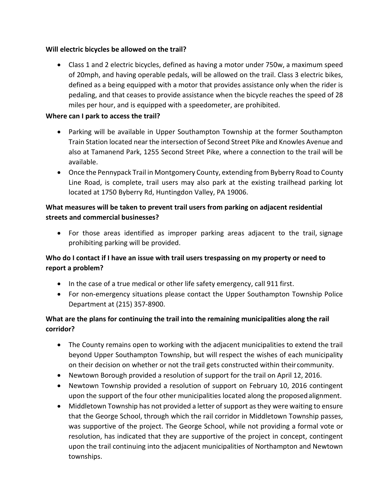## **Will electric bicycles be allowed on the trail?**

 Class 1 and 2 electric bicycles, defined as having a motor under 750w, a maximum speed of 20mph, and having operable pedals, will be allowed on the trail. Class 3 electric bikes, defined as a being equipped with a motor that provides assistance only when the rider is pedaling, and that ceases to provide assistance when the bicycle reaches the speed of 28 miles per hour, and is equipped with a speedometer, are prohibited.

## **Where can I park to access the trail?**

- Parking will be available in Upper Southampton Township at the former Southampton Train Station located near the intersection of Second Street Pike and Knowles Avenue and also at Tamanend Park, 1255 Second Street Pike, where a connection to the trail will be available.
- Once the Pennypack Trail in Montgomery County, extending from Byberry Road to County Line Road, is complete, trail users may also park at the existing trailhead parking lot located at 1750 Byberry Rd, Huntingdon Valley, PA 19006.

# **What measures will be taken to prevent trail users from parking on adjacent residential streets and commercial businesses?**

 For those areas identified as improper parking areas adjacent to the trail, signage prohibiting parking will be provided.

# **Who do I contact if I have an issue with trail users trespassing on my property or need to report a problem?**

- In the case of a true medical or other life safety emergency, call 911 first.
- For non-emergency situations please contact the Upper Southampton Township Police Department at (215) 357-8900.

# **What are the plans for continuing the trail into the remaining municipalities along the rail corridor?**

- The County remains open to working with the adjacent municipalities to extend the trail beyond Upper Southampton Township, but will respect the wishes of each municipality on their decision on whether or not the trail gets constructed within their community.
- Newtown Borough provided a resolution of support for the trail on April 12, 2016.
- Newtown Township provided a resolution of support on February 10, 2016 contingent upon the support of the four other municipalities located along the proposedalignment.
- Middletown Township has not provided a letter of support as they were waiting to ensure that the George School, through which the rail corridor in Middletown Township passes, was supportive of the project. The George School, while not providing a formal vote or resolution, has indicated that they are supportive of the project in concept, contingent upon the trail continuing into the adjacent municipalities of Northampton and Newtown townships.